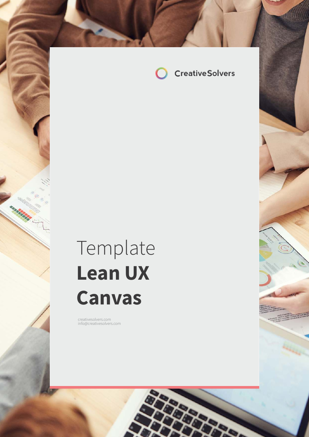

# Template **Lean UX Canvas**

com in formal company of the company of the company of the company of the company of the company of the company of the company of the company of the company of the company of the company of the company of the company of th

creativesolvers.com info@creativesolvers.com

a a a fari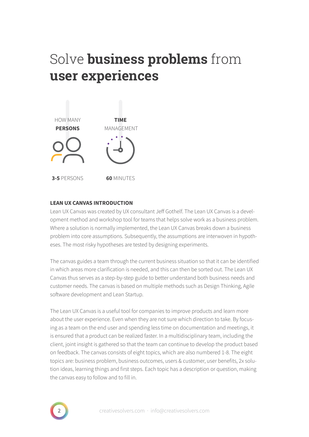## Solve **business problems** from **user experiences**



### **LEAN UX CANVAS INTRODUCTION**

Lean UX Canvas was created by UX consultant Jeff Gothelf. The Lean UX Canvas is a development method and workshop tool for teams that helps solve work as a business problem. Where a solution is normally implemented, the Lean UX Canvas breaks down a business problem into core assumptions. Subsequently, the assumptions are interwoven in hypotheses. The most risky hypotheses are tested by designing experiments.

The canvas guides a team through the current business situation so that it can be identified in which areas more clarification is needed, and this can then be sorted out. The Lean UX Canvas thus serves as a step-by-step guide to better understand both business needs and customer needs. The canvas is based on multiple methods such as Design Thinking, Agile software development and Lean Startup.

The Lean UX Canvas is a useful tool for companies to improve products and learn more about the user experience. Even when they are not sure which direction to take. By focusing as a team on the end user and spending less time on documentation and meetings, it is ensured that a product can be realized faster. In a multidisciplinary team, including the client, joint insight is gathered so that the team can continue to develop the product based on feedback. The canvas consists of eight topics, which are also numbered 1-8. The eight topics are: business problem, business outcomes, users & customer, user benefits, 2x solution ideas, learning things and first steps. Each topic has a description or question, making the canvas easy to follow and to fill in.

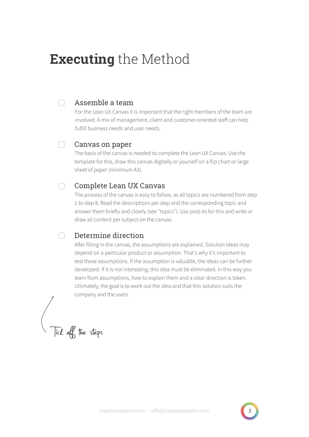## **Executing** the Method

### Assemble a team

 $\cap$ 

For the Lean UX Canvas it is important that the right members of the team are involved. A mix of management, client and customer-oriented staff can help fulfill business needs and user needs.

#### $\bigcap$ Canvas on paper

The basis of the canvas is needed to complete the Lean UX Canvas. Use the template for this, draw this canvas digitally or yourself on a flip chart or large sheet of paper (minimum A3).

#### $\bigcap$ Complete Lean UX Canvas

The process of the canvas is easy to follow, as all topics are numbered from step 1 to step 8. Read the descriptions per step and the corresponding topic and answer them briefly and clearly (see "topics"). Use post-its for this and write or draw all content per subject on the canvas.

#### $\cap$ Determine direction

After filling in the canvas, the assumptions are explained. Solution ideas may depend on a particular product or assumption. That's why it's important to test these assumptions. If the assumption is valuable, the ideas can be further developed. If it is not interesting, this idea must be eliminated. In this way you learn from assumptions, how to explain them and a clear direction is taken. Ultimately, the goal is to work out the idea and that this solution suits the company and the users.

Tick off the steps

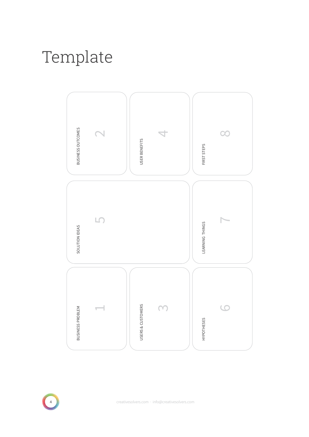# Template